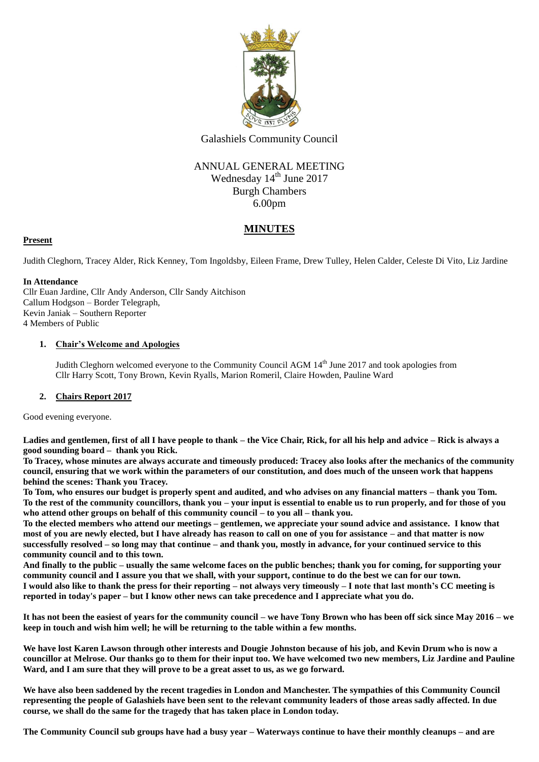

Galashiels Community Council

# ANNUAL GENERAL MEETING Wednesday 14<sup>th</sup> June 2017 Burgh Chambers 6.00pm

# **MINUTES**

## **Present**

Judith Cleghorn, Tracey Alder, Rick Kenney, Tom Ingoldsby, Eileen Frame, Drew Tulley, Helen Calder, Celeste Di Vito, Liz Jardine

### **In Attendance**

Cllr Euan Jardine, Cllr Andy Anderson, Cllr Sandy Aitchison Callum Hodgson – Border Telegraph, Kevin Janiak – Southern Reporter 4 Members of Public

## **1. Chair's Welcome and Apologies**

Judith Cleghorn welcomed everyone to the Community Council AGM 14<sup>th</sup> June 2017 and took apologies from Cllr Harry Scott, Tony Brown, Kevin Ryalls, Marion Romeril, Claire Howden, Pauline Ward

## **2. Chairs Report 2017**

Good evening everyone.

**Ladies and gentlemen, first of all I have people to thank – the Vice Chair, Rick, for all his help and advice – Rick is always a good sounding board – thank you Rick.**

**To Tracey, whose minutes are always accurate and timeously produced: Tracey also looks after the mechanics of the community council, ensuring that we work within the parameters of our constitution, and does much of the unseen work that happens behind the scenes: Thank you Tracey.**

**To Tom, who ensures our budget is properly spent and audited, and who advises on any financial matters – thank you Tom. To the rest of the community councillors, thank you – your input is essential to enable us to run properly, and for those of you who attend other groups on behalf of this community council – to you all – thank you.**

**To the elected members who attend our meetings – gentlemen, we appreciate your sound advice and assistance. I know that most of you are newly elected, but I have already has reason to call on one of you for assistance – and that matter is now successfully resolved – so long may that continue – and thank you, mostly in advance, for your continued service to this community council and to this town.**

**And finally to the public – usually the same welcome faces on the public benches; thank you for coming, for supporting your community council and I assure you that we shall, with your support, continue to do the best we can for our town. I would also like to thank the press for their reporting – not always very timeously – I note that last month's CC meeting is reported in today's paper – but I know other news can take precedence and I appreciate what you do.**

**It has not been the easiest of years for the community council – we have Tony Brown who has been off sick since May 2016 – we keep in touch and wish him well; he will be returning to the table within a few months.**

**We have lost Karen Lawson through other interests and Dougie Johnston because of his job, and Kevin Drum who is now a councillor at Melrose. Our thanks go to them for their input too. We have welcomed two new members, Liz Jardine and Pauline Ward, and I am sure that they will prove to be a great asset to us, as we go forward.**

**We have also been saddened by the recent tragedies in London and Manchester. The sympathies of this Community Council representing the people of Galashiels have been sent to the relevant community leaders of those areas sadly affected. In due course, we shall do the same for the tragedy that has taken place in London today.**

**The Community Council sub groups have had a busy year – Waterways continue to have their monthly cleanups – and are**